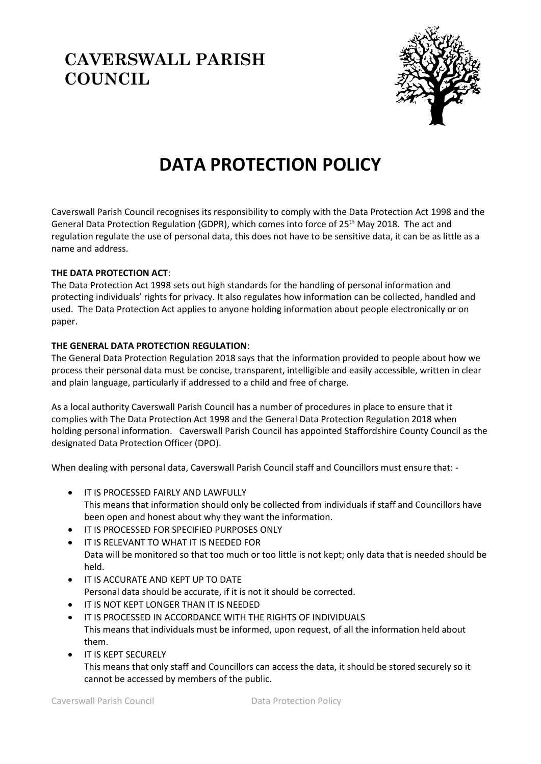# **CAVERSWALL PARISH COUNCIL**



# **DATA PROTECTION POLICY**

Caverswall Parish Council recognises its responsibility to comply with the Data Protection Act 1998 and the General Data Protection Regulation (GDPR), which comes into force of 25<sup>th</sup> May 2018. The act and regulation regulate the use of personal data, this does not have to be sensitive data, it can be as little as a name and address.

## **THE DATA PROTECTION ACT**:

The Data Protection Act 1998 sets out high standards for the handling of personal information and protecting individuals' rights for privacy. It also regulates how information can be collected, handled and used. The Data Protection Act applies to anyone holding information about people electronically or on paper.

### **THE GENERAL DATA PROTECTION REGULATION**:

The General Data Protection Regulation 2018 says that the information provided to people about how we process their personal data must be concise, transparent, intelligible and easily accessible, written in clear and plain language, particularly if addressed to a child and free of charge.

As a local authority Caverswall Parish Council has a number of procedures in place to ensure that it complies with The Data Protection Act 1998 and the General Data Protection Regulation 2018 when holding personal information. Caverswall Parish Council has appointed Staffordshire County Council as the designated Data Protection Officer (DPO).

When dealing with personal data, Caverswall Parish Council staff and Councillors must ensure that: -

- IT IS PROCESSED FAIRLY AND LAWFULLY This means that information should only be collected from individuals if staff and Councillors have been open and honest about why they want the information.
- IT IS PROCESSED FOR SPECIFIED PURPOSES ONLY
- IT IS RELEVANT TO WHAT IT IS NEEDED FOR Data will be monitored so that too much or too little is not kept; only data that is needed should be held.
- IT IS ACCURATE AND KEPT UP TO DATE Personal data should be accurate, if it is not it should be corrected.
- IT IS NOT KEPT LONGER THAN IT IS NEEDED
- IT IS PROCESSED IN ACCORDANCE WITH THE RIGHTS OF INDIVIDUALS This means that individuals must be informed, upon request, of all the information held about them.
- IT IS KEPT SECURELY This means that only staff and Councillors can access the data, it should be stored securely so it cannot be accessed by members of the public.